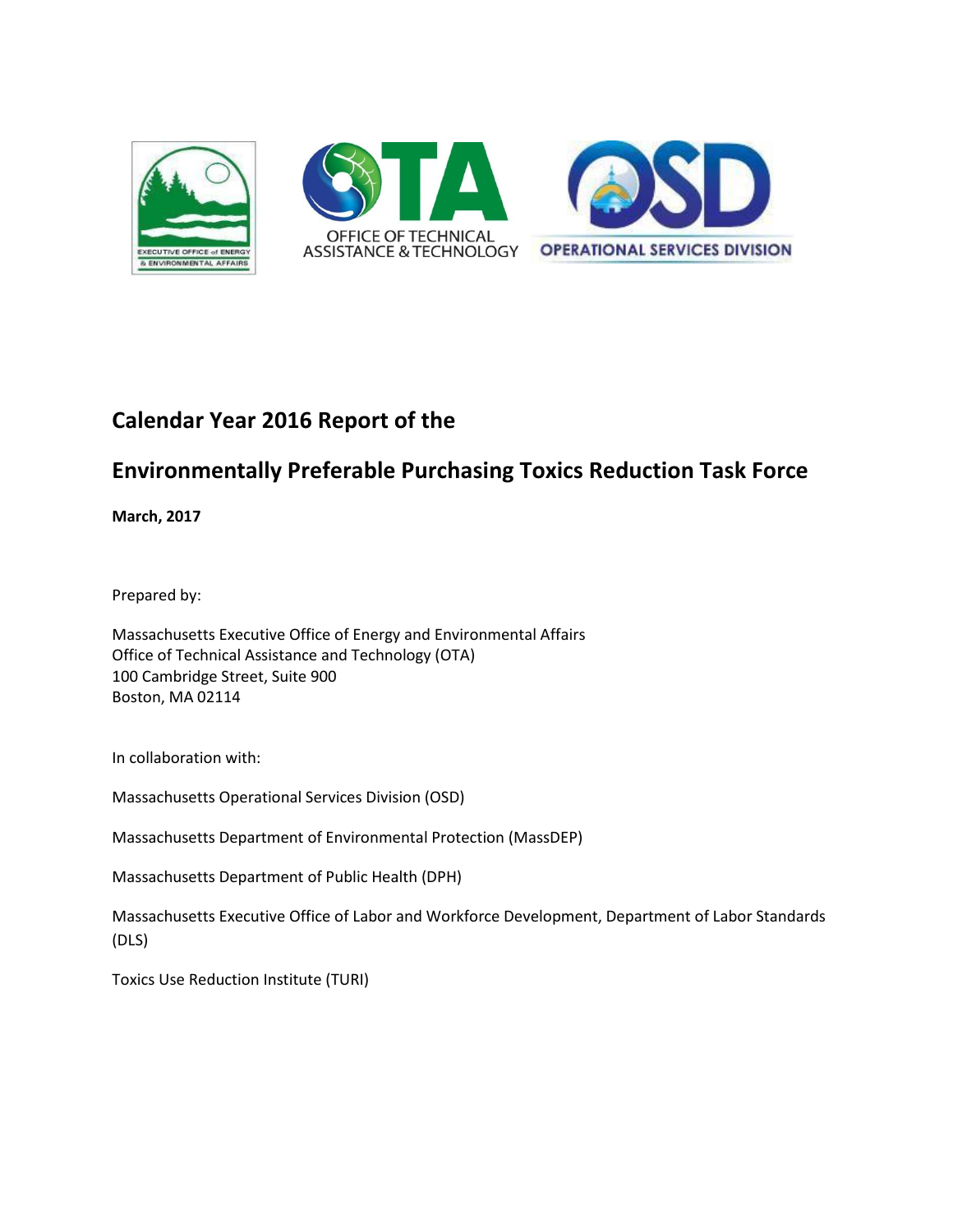

## **Calendar Year 2016 Report of the**

### **Environmentally Preferable Purchasing Toxics Reduction Task Force**

**March, 2017**

Prepared by:

Massachusetts Executive Office of Energy and Environmental Affairs Office of Technical Assistance and Technology (OTA) 100 Cambridge Street, Suite 900 Boston, MA 02114

In collaboration with:

Massachusetts Operational Services Division (OSD)

Massachusetts Department of Environmental Protection (MassDEP)

Massachusetts Department of Public Health (DPH)

Massachusetts Executive Office of Labor and Workforce Development, Department of Labor Standards (DLS)

Toxics Use Reduction Institute (TURI)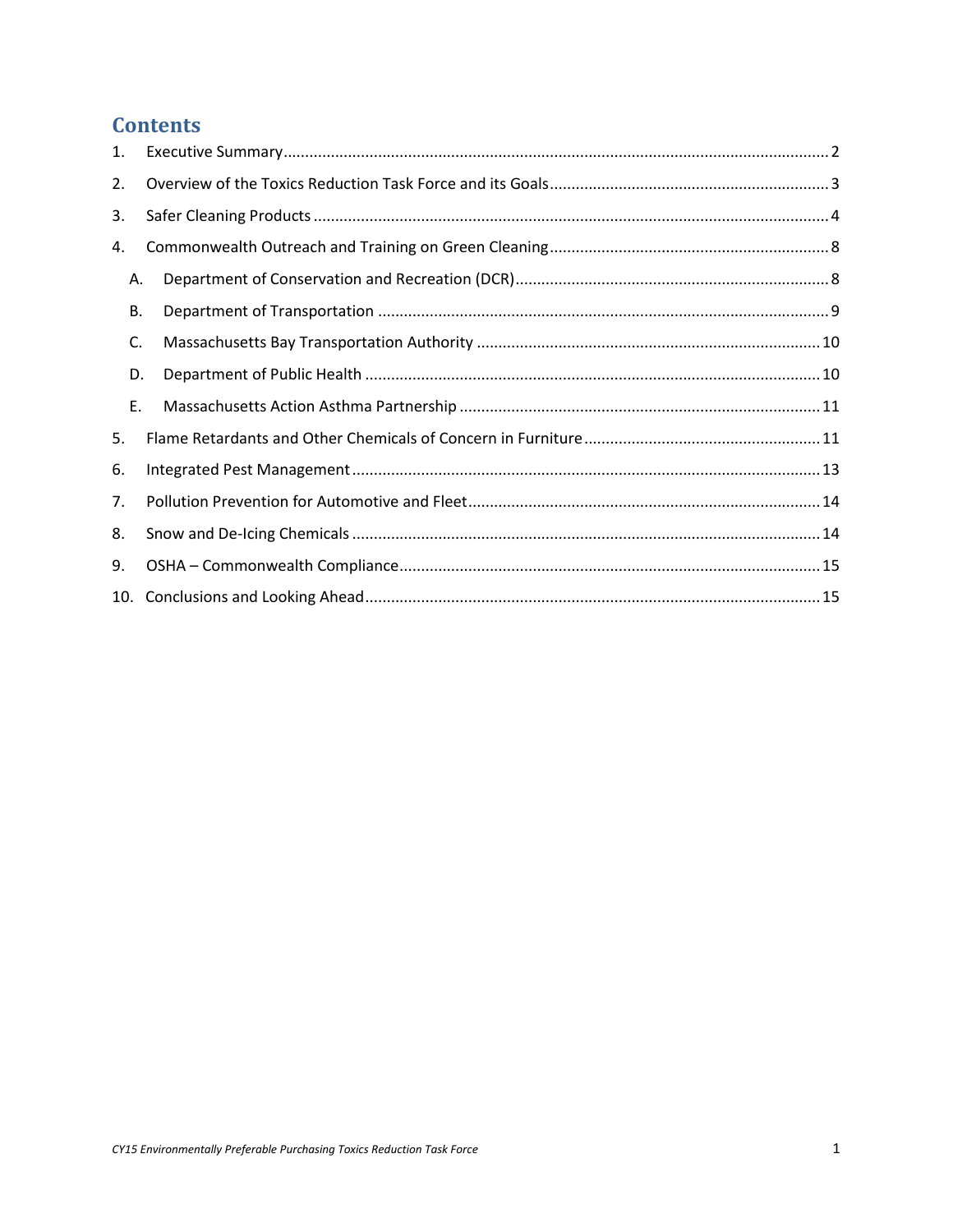### **Contents**

| 1. |  |
|----|--|
| 2. |  |
| 3. |  |
| 4. |  |
| Α. |  |
| В. |  |
| C. |  |
| D. |  |
| E. |  |
| 5. |  |
| 6. |  |
| 7. |  |
| 8. |  |
| 9. |  |
|    |  |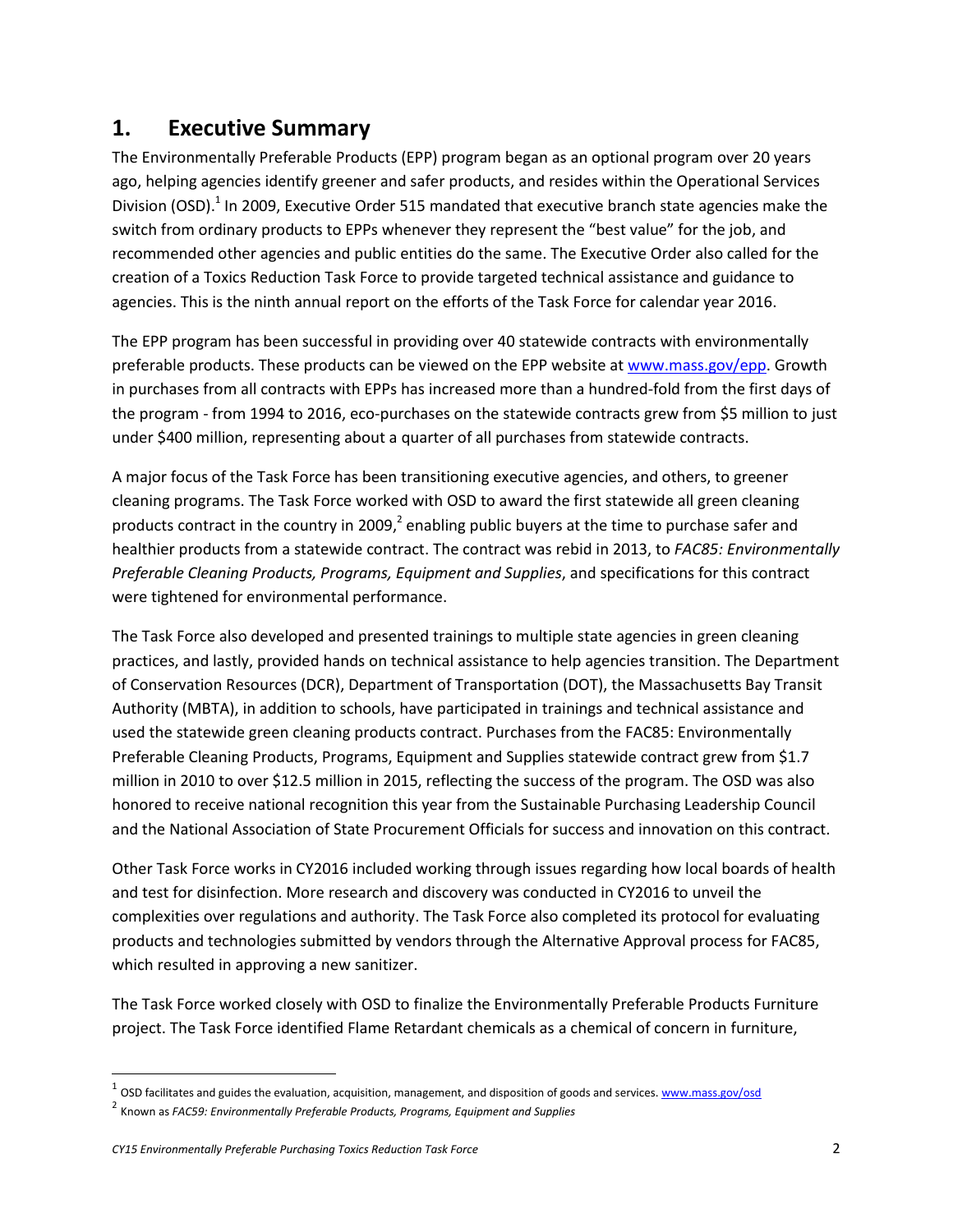### <span id="page-2-0"></span>**1. Executive Summary**

The Environmentally Preferable Products (EPP) program began as an optional program over 20 years ago, helping agencies identify greener and safer products, and resides within the Operational Services Division (OSD).<sup>1</sup> In 2009, Executive Order 515 mandated that executive branch state agencies make the switch from ordinary products to EPPs whenever they represent the "best value" for the job, and recommended other agencies and public entities do the same. The Executive Order also called for the creation of a Toxics Reduction Task Force to provide targeted technical assistance and guidance to agencies. This is the ninth annual report on the efforts of the Task Force for calendar year 2016.

The EPP program has been successful in providing over 40 statewide contracts with environmentally preferable products. These products can be viewed on the EPP website at [www.mass.gov/epp.](http://www.mass.gov/epp) Growth in purchases from all contracts with EPPs has increased more than a hundred‐fold from the first days of the program - from 1994 to 2016, eco-purchases on the statewide contracts grew from \$5 million to just under \$400 million, representing about a quarter of all purchases from statewide contracts.

A major focus of the Task Force has been transitioning executive agencies, and others, to greener cleaning programs. The Task Force worked with OSD to award the first statewide all green cleaning products contract in the country in 2009,<sup>2</sup> enabling public buyers at the time to purchase safer and healthier products from a statewide contract. The contract was rebid in 2013, to *FAC85: Environmentally Preferable Cleaning Products, Programs, Equipment and Supplies*, and specifications for this contract were tightened for environmental performance.

The Task Force also developed and presented trainings to multiple state agencies in green cleaning practices, and lastly, provided hands on technical assistance to help agencies transition. The Department of Conservation Resources (DCR), Department of Transportation (DOT), the Massachusetts Bay Transit Authority (MBTA), in addition to schools, have participated in trainings and technical assistance and used the statewide green cleaning products contract. Purchases from the FAC85: Environmentally Preferable Cleaning Products, Programs, Equipment and Supplies statewide contract grew from \$1.7 million in 2010 to over \$12.5 million in 2015, reflecting the success of the program. The OSD was also honored to receive national recognition this year from the Sustainable Purchasing Leadership Council and the National Association of State Procurement Officials for success and innovation on this contract.

Other Task Force works in CY2016 included working through issues regarding how local boards of health and test for disinfection. More research and discovery was conducted in CY2016 to unveil the complexities over regulations and authority. The Task Force also completed its protocol for evaluating products and technologies submitted by vendors through the Alternative Approval process for FAC85, which resulted in approving a new sanitizer.

The Task Force worked closely with OSD to finalize the Environmentally Preferable Products Furniture project. The Task Force identified Flame Retardant chemicals as a chemical of concern in furniture,

l

<sup>&</sup>lt;sup>1</sup> OSD facilitates and guides the evaluation, acquisition, management, and disposition of goods and services. <u>www.mass.gov/osd</u>

<sup>2</sup> Known as *FAC59: Environmentally Preferable Products, Programs, Equipment and Supplies*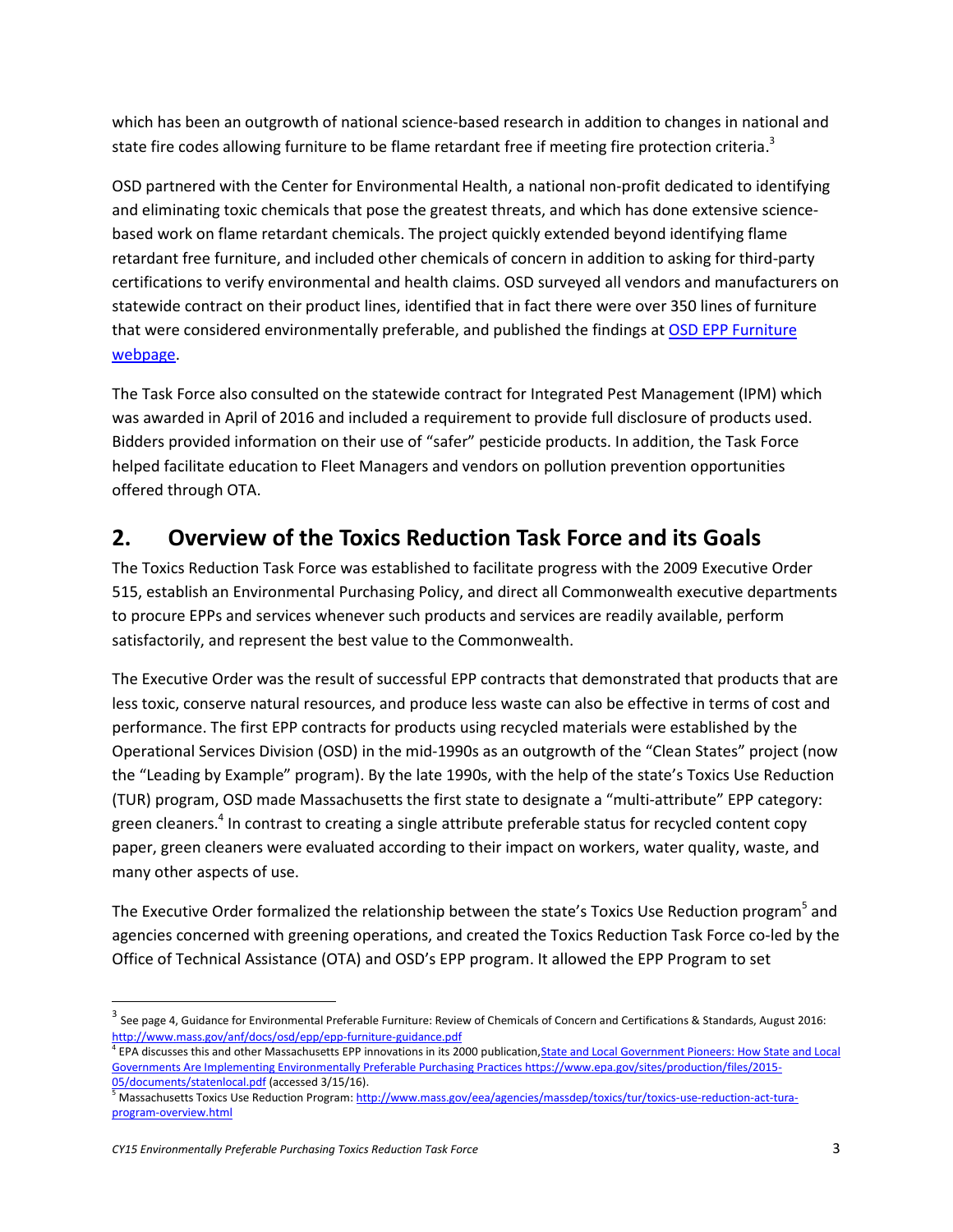which has been an outgrowth of national science-based research in addition to changes in national and state fire codes allowing furniture to be flame retardant free if meeting fire protection criteria.<sup>3</sup>

OSD partnered with the Center for Environmental Health, a national non-profit dedicated to identifying and eliminating toxic chemicals that pose the greatest threats, and which has done extensive sciencebased work on flame retardant chemicals. The project quickly extended beyond identifying flame retardant free furniture, and included other chemicals of concern in addition to asking for third-party certifications to verify environmental and health claims. OSD surveyed all vendors and manufacturers on statewide contract on their product lines, identified that in fact there were over 350 lines of furniture that were considered environmentally preferable, and published the findings at OSD EPP Furniture [webpage.](http://www.mass.gov/anf/budget-taxes-and-procurement/procurement-info-and-res/procurement-prog-and-serv/epp-procurement-prog/green-products-and-serv/specific-epp-statewide-contracts/furniture-environmentally-preferable.html)

The Task Force also consulted on the statewide contract for Integrated Pest Management (IPM) which was awarded in April of 2016 and included a requirement to provide full disclosure of products used. Bidders provided information on their use of "safer" pesticide products. In addition, the Task Force helped facilitate education to Fleet Managers and vendors on pollution prevention opportunities offered through OTA.

### <span id="page-3-0"></span>**2. Overview of the Toxics Reduction Task Force and its Goals**

The Toxics Reduction Task Force was established to facilitate progress with the 2009 Executive Order 515, establish an Environmental Purchasing Policy, and direct all Commonwealth executive departments to procure EPPs and services whenever such products and services are readily available, perform satisfactorily, and represent the best value to the Commonwealth.

The Executive Order was the result of successful EPP contracts that demonstrated that products that are less toxic, conserve natural resources, and produce less waste can also be effective in terms of cost and performance. The first EPP contracts for products using recycled materials were established by the Operational Services Division (OSD) in the mid‐1990s as an outgrowth of the "Clean States" project (now the "Leading by Example" program). By the late 1990s, with the help of the state's Toxics Use Reduction (TUR) program, OSD made Massachusetts the first state to designate a "multi‐attribute" EPP category: green cleaners.<sup>4</sup> In contrast to creating a single attribute preferable status for recycled content copy paper, green cleaners were evaluated according to their impact on workers, water quality, waste, and many other aspects of use.

The Executive Order formalized the relationship between the state's Toxics Use Reduction program<sup>5</sup> and agencies concerned with greening operations, and created the Toxics Reduction Task Force co‐led by the Office of Technical Assistance (OTA) and OSD's EPP program. It allowed the EPP Program to set

 $^3$  See page 4, Guidance for Environmental Preferable Furniture: Review of Chemicals of Concern and Certifications & Standards, August 2016: <http://www.mass.gov/anf/docs/osd/epp/epp-furniture-guidance.pdf>

<sup>&</sup>lt;sup>4</sup> EPA discusses this and other Massachusetts EPP innovations in its 2000 publication, State and Local Government Pioneers: How State and Local [Governments Are Implementing Environmentally Preferable Purchasing Practices https://www.epa.gov/sites/production/files/2015-](https://www.epa.gov/sites/production/files/2015-05/documents/statenlocal.pdf) [05/documents/statenlocal.pdf](https://www.epa.gov/sites/production/files/2015-05/documents/statenlocal.pdf) (accessed 3/15/16).

<sup>&</sup>lt;sup>5</sup> Massachusetts Toxics Use Reduction Program[: http://www.mass.gov/eea/agencies/massdep/toxics/tur/toxics-use-reduction-act-tura](http://www.mass.gov/eea/agencies/massdep/toxics/tur/toxics-use-reduction-act-tura-program-overview.html)[program-overview.html](http://www.mass.gov/eea/agencies/massdep/toxics/tur/toxics-use-reduction-act-tura-program-overview.html)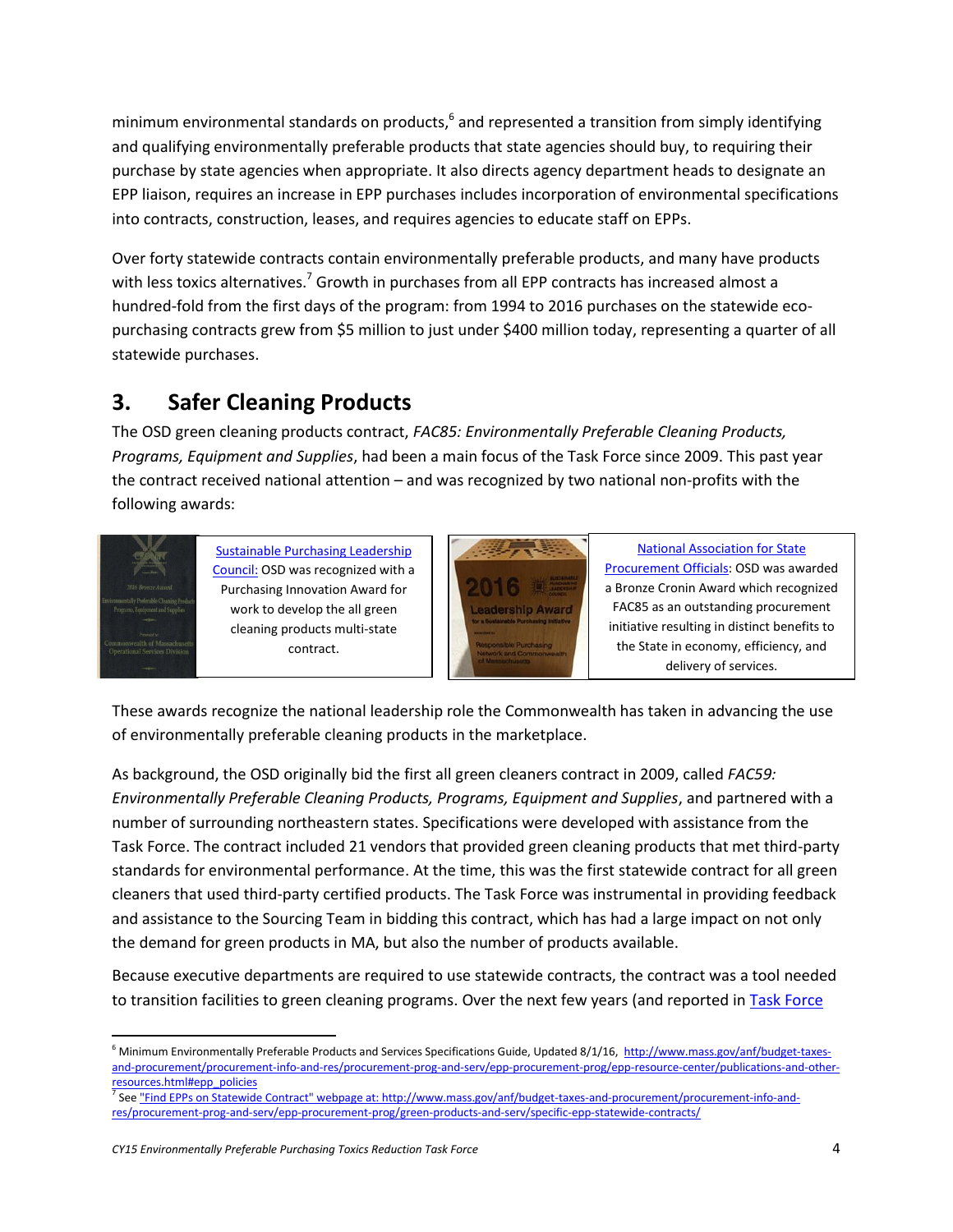minimum environmental standards on products,<sup>6</sup> and represented a transition from simply identifying and qualifying environmentally preferable products that state agencies should buy, to requiring their purchase by state agencies when appropriate. It also directs agency department heads to designate an EPP liaison, requires an increase in EPP purchases includes incorporation of environmental specifications into contracts, construction, leases, and requires agencies to educate staff on EPPs.

Over forty statewide contracts contain environmentally preferable products, and many have products with less toxics alternatives.<sup>7</sup> Growth in purchases from all EPP contracts has increased almost a hundred-fold from the first days of the program: from 1994 to 2016 purchases on the statewide ecopurchasing contracts grew from \$5 million to just under \$400 million today, representing a quarter of all statewide purchases.

## <span id="page-4-0"></span>**3. Safer Cleaning Products**

The OSD green cleaning products contract, *FAC85: Environmentally Preferable Cleaning Products, Programs, Equipment and Supplies*, had been a main focus of the Task Force since 2009. This past year the contract received national attention – and was recognized by two national non-profits with the following awards:



[Sustainable Purchasing Leadership](http://blog.mass.gov/osd/procurement/operational-services-division-acknowledged-for-fostering-sustainable-purchasing-choices/)  [Council:](http://blog.mass.gov/osd/procurement/operational-services-division-acknowledged-for-fostering-sustainable-purchasing-choices/) OSD was recognized with a Purchasing Innovation Award for work to develop the all green cleaning products multi-state contract.



[National Association for State](http://www.naspo.org/croninawards)  [Procurement Officials:](http://www.naspo.org/croninawards) OSD was awarded a Bronze Cronin Award which recognized FAC85 as an outstanding procurement initiative resulting in distinct benefits to the State in economy, efficiency, and delivery of services.

These awards recognize the national leadership role the Commonwealth has taken in advancing the use of environmentally preferable cleaning products in the marketplace.

As background, the OSD originally bid the first all green cleaners contract in 2009, called *FAC59: Environmentally Preferable Cleaning Products, Programs, Equipment and Supplies*, and partnered with a number of surrounding northeastern states. Specifications were developed with assistance from the Task Force. The contract included 21 vendors that provided green cleaning products that met third-party standards for environmental performance. At the time, this was the first statewide contract for all green cleaners that used third-party certified products. The Task Force was instrumental in providing feedback and assistance to the Sourcing Team in bidding this contract, which has had a large impact on not only the demand for green products in MA, but also the number of products available.

Because executive departments are required to use statewide contracts, the contract was a tool needed to transition facilities to green cleaning programs. Over the next few years (and reported in Task Force

<sup>7</sup> Se[e "Find EPPs on Statewide Contract" webpage at: http://www.mass.gov/anf/budget-taxes-and-procurement/procurement-info-and](http://www.mass.gov/anf/budget-taxes-and-procurement/procurement-info-and-res/procurement-prog-and-serv/epp-procurement-prog/green-products-and-serv/specific-epp-statewide-contracts/)[res/procurement-prog-and-serv/epp-procurement-prog/green-products-and-serv/specific-epp-statewide-contracts/](http://www.mass.gov/anf/budget-taxes-and-procurement/procurement-info-and-res/procurement-prog-and-serv/epp-procurement-prog/green-products-and-serv/specific-epp-statewide-contracts/)

 $\overline{a}$  $6$  Minimum Environmentally Preferable Products and Services Specifications Guide, Updated 8/1/16, [http://www.mass.gov/anf/budget-taxes](http://www.mass.gov/anf/budget-taxes-and-procurement/procurement-info-and-res/procurement-prog-and-serv/epp-procurement-prog/epp-resource-center/publications-and-other-resources.html#epp_policies)[and-procurement/procurement-info-and-res/procurement-prog-and-serv/epp-procurement-prog/epp-resource-center/publications-and-other](http://www.mass.gov/anf/budget-taxes-and-procurement/procurement-info-and-res/procurement-prog-and-serv/epp-procurement-prog/epp-resource-center/publications-and-other-resources.html#epp_policies)[resources.html#epp\\_policies](http://www.mass.gov/anf/budget-taxes-and-procurement/procurement-info-and-res/procurement-prog-and-serv/epp-procurement-prog/epp-resource-center/publications-and-other-resources.html#epp_policies)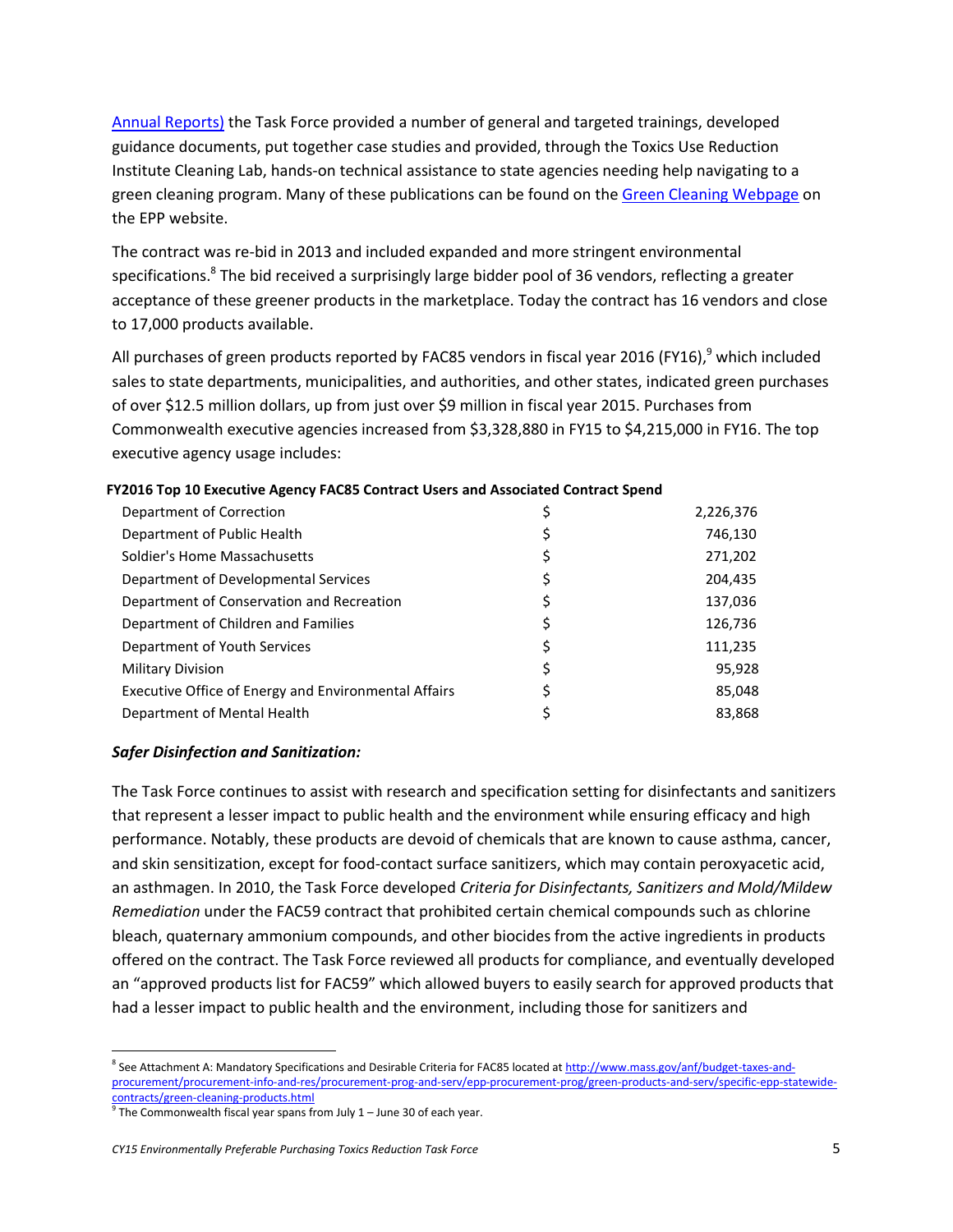[Annual Reports\)](http://www.mass.gov/anf/budget-taxes-and-procurement/procurement-info-and-res/procurement-prog-and-serv/epp-procurement-prog/epp-resource-center/publications-and-other-resources.html#epp_reports) the Task Force provided a number of general and targeted trainings, developed guidance documents, put together case studies and provided, through the Toxics Use Reduction Institute Cleaning Lab, hands-on technical assistance to state agencies needing help navigating to a green cleaning program. Many of these publications can be found on th[e Green Cleaning Webpage](http://www.mass.gov/anf/budget-taxes-and-procurement/procurement-info-and-res/procurement-prog-and-serv/epp-procurement-prog/green-products-and-serv/specific-epp-statewide-contracts/green-cleaning-products.html) on the EPP website.

The contract was re-bid in 2013 and included expanded and more stringent environmental specifications.<sup>8</sup> The bid received a surprisingly large bidder pool of 36 vendors, reflecting a greater acceptance of these greener products in the marketplace. Today the contract has 16 vendors and close to 17,000 products available.

All purchases of green products reported by FAC85 vendors in fiscal year 2016 (FY16),<sup>9</sup> which included sales to state departments, municipalities, and authorities, and other states, indicated green purchases of over \$12.5 million dollars, up from just over \$9 million in fiscal year 2015. Purchases from Commonwealth executive agencies increased from \$3,328,880 in FY15 to \$4,215,000 in FY16. The top executive agency usage includes:

| Department of Correction                             | \$ | 2,226,376 |
|------------------------------------------------------|----|-----------|
| Department of Public Health                          | Ş  | 746,130   |
| Soldier's Home Massachusetts                         | \$ | 271,202   |
| Department of Developmental Services                 | \$ | 204,435   |
| Department of Conservation and Recreation            | \$ | 137,036   |
| Department of Children and Families                  | \$ | 126,736   |
| Department of Youth Services                         | \$ | 111,235   |
| <b>Military Division</b>                             | \$ | 95,928    |
| Executive Office of Energy and Environmental Affairs |    | 85,048    |
| Department of Mental Health                          |    | 83,868    |
|                                                      |    |           |

#### **FY2016 Top 10 Executive Agency FAC85 Contract Users and Associated Contract Spend**

#### *Safer Disinfection and Sanitization:*

The Task Force continues to assist with research and specification setting for disinfectants and sanitizers that represent a lesser impact to public health and the environment while ensuring efficacy and high performance. Notably, these products are devoid of chemicals that are known to cause asthma, cancer, and skin sensitization, except for food-contact surface sanitizers, which may contain peroxyacetic acid, an asthmagen. In 2010, the Task Force developed *Criteria for Disinfectants, Sanitizers and Mold/Mildew Remediation* under the FAC59 contract that prohibited certain chemical compounds such as chlorine bleach, quaternary ammonium compounds, and other biocides from the active ingredients in products offered on the contract. The Task Force reviewed all products for compliance, and eventually developed an "approved products list for FAC59" which allowed buyers to easily search for approved products that had a lesser impact to public health and the environment, including those for sanitizers and

l <sup>8</sup> See Attachment A: Mandatory Specifications and Desirable Criteria for FAC85 located a[t http://www.mass.gov/anf/budget-taxes-and](http://www.mass.gov/anf/budget-taxes-and-procurement/procurement-info-and-res/procurement-prog-and-serv/epp-procurement-prog/green-products-and-serv/specific-epp-statewide-contracts/green-cleaning-products.html)[procurement/procurement-info-and-res/procurement-prog-and-serv/epp-procurement-prog/green-products-and-serv/specific-epp-statewide](http://www.mass.gov/anf/budget-taxes-and-procurement/procurement-info-and-res/procurement-prog-and-serv/epp-procurement-prog/green-products-and-serv/specific-epp-statewide-contracts/green-cleaning-products.html)[contracts/green-cleaning-products.html](http://www.mass.gov/anf/budget-taxes-and-procurement/procurement-info-and-res/procurement-prog-and-serv/epp-procurement-prog/green-products-and-serv/specific-epp-statewide-contracts/green-cleaning-products.html)

 $9$  The Commonwealth fiscal year spans from July 1 – June 30 of each year.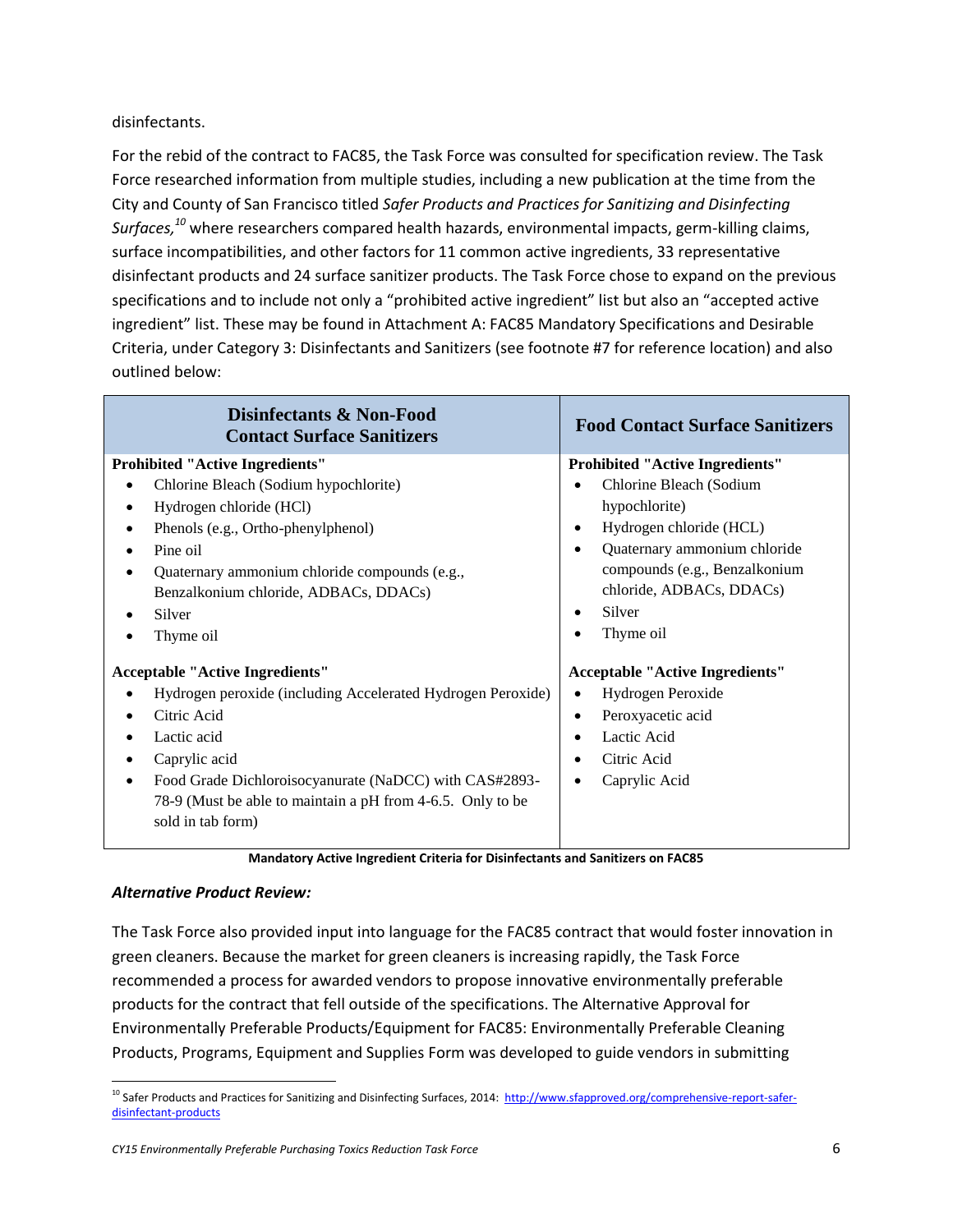disinfectants.

For the rebid of the contract to FAC85, the Task Force was consulted for specification review. The Task Force researched information from multiple studies, including a new publication at the time from the City and County of San Francisco titled *Safer Products and Practices for Sanitizing and Disinfecting Surfaces, <sup>10</sup>* where researchers compared health hazards, environmental impacts, germ-killing claims, surface incompatibilities, and other factors for 11 common active ingredients, 33 representative disinfectant products and 24 surface sanitizer products. The Task Force chose to expand on the previous specifications and to include not only a "prohibited active ingredient" list but also an "accepted active ingredient" list. These may be found in Attachment A: FAC85 Mandatory Specifications and Desirable Criteria, under Category 3: Disinfectants and Sanitizers (see footnote #7 for reference location) and also outlined below:

| Disinfectants & Non-Food<br><b>Contact Surface Sanitizers</b>                                                                                                                                                                                                                                                               | <b>Food Contact Surface Sanitizers</b>                                                                                                                                                                                                           |  |
|-----------------------------------------------------------------------------------------------------------------------------------------------------------------------------------------------------------------------------------------------------------------------------------------------------------------------------|--------------------------------------------------------------------------------------------------------------------------------------------------------------------------------------------------------------------------------------------------|--|
| <b>Prohibited "Active Ingredients"</b><br>Chlorine Bleach (Sodium hypochlorite)<br>Hydrogen chloride (HCl)<br>Phenols (e.g., Ortho-phenylphenol)<br>٠<br>Pine oil<br>Quaternary ammonium chloride compounds (e.g.,<br>Benzalkonium chloride, ADBACs, DDACs)<br>Silver<br>Thyme oil                                          | <b>Prohibited "Active Ingredients"</b><br>Chlorine Bleach (Sodium<br>hypochlorite)<br>Hydrogen chloride (HCL)<br>٠<br>Quaternary ammonium chloride<br>٠<br>compounds (e.g., Benzalkonium<br>chloride, ADBACs, DDACs)<br>Silver<br>٠<br>Thyme oil |  |
| <b>Acceptable "Active Ingredients"</b><br>Hydrogen peroxide (including Accelerated Hydrogen Peroxide)<br>$\bullet$<br>Citric Acid<br>Lactic acid<br>Caprylic acid<br>Food Grade Dichloroisocyanurate (NaDCC) with CAS#2893-<br>$\bullet$<br>78-9 (Must be able to maintain a pH from 4-6.5. Only to be<br>sold in tab form) | <b>Acceptable "Active Ingredients"</b><br>Hydrogen Peroxide<br>$\bullet$<br>Peroxyacetic acid<br>٠<br>Lactic Acid<br>$\bullet$<br>Citric Acid<br>Caprylic Acid<br>٠                                                                              |  |

**Mandatory Active Ingredient Criteria for Disinfectants and Sanitizers on FAC85**

#### *Alternative Product Review:*

The Task Force also provided input into language for the FAC85 contract that would foster innovation in green cleaners. Because the market for green cleaners is increasing rapidly, the Task Force recommended a process for awarded vendors to propose innovative environmentally preferable products for the contract that fell outside of the specifications. The Alternative Approval for Environmentally Preferable Products/Equipment for FAC85: Environmentally Preferable Cleaning Products, Programs, Equipment and Supplies Form was developed to guide vendors in submitting

 $\overline{a}$ <sup>10</sup> Safer Products and Practices for Sanitizing and Disinfecting Surfaces, 2014: [http://www.sfapproved.org/comprehensive-report-safer](http://www.sfapproved.org/comprehensive-report-safer-disinfectant-products)[disinfectant-products](http://www.sfapproved.org/comprehensive-report-safer-disinfectant-products)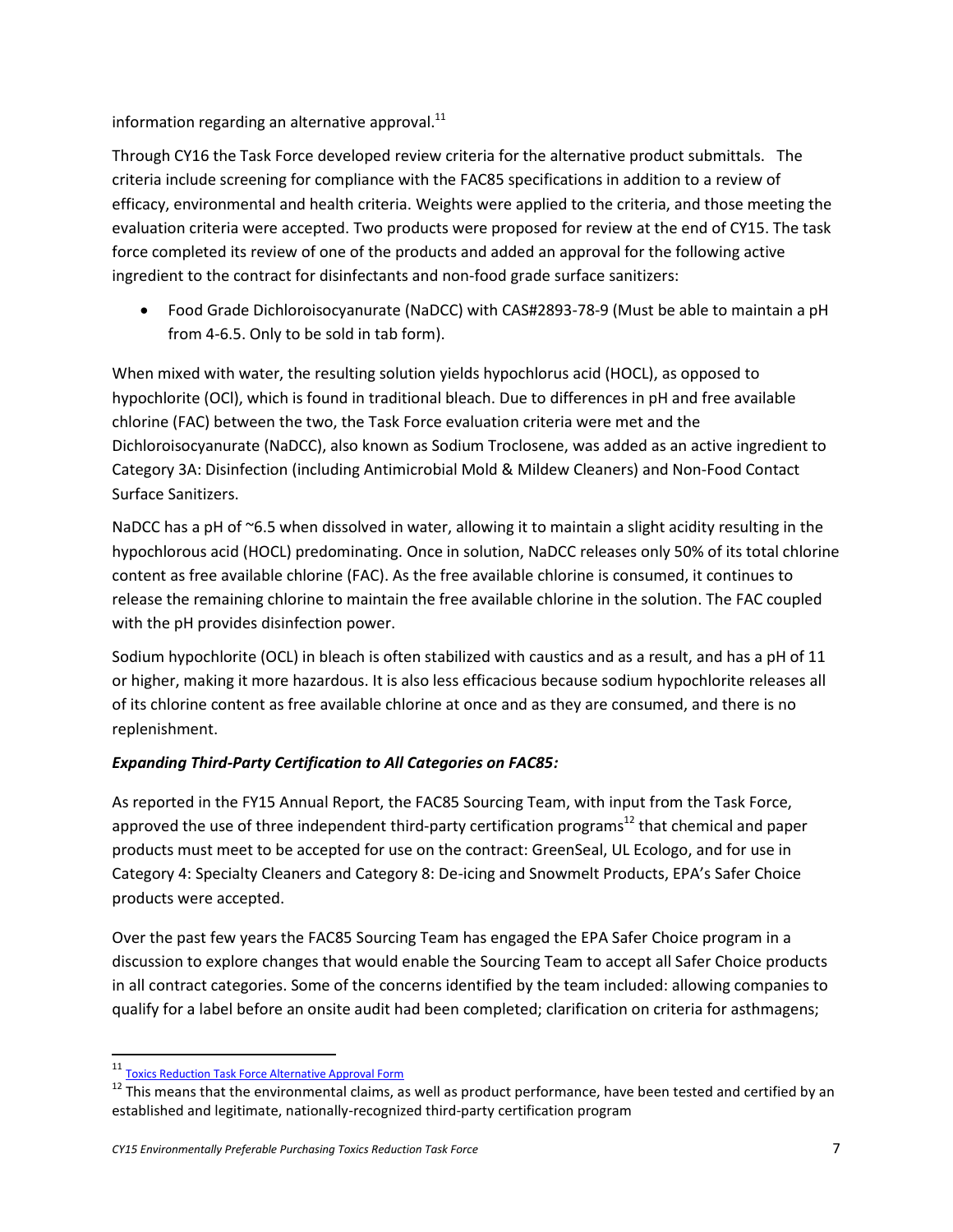information regarding an alternative approval. $^{11}$ 

Through CY16 the Task Force developed review criteria for the alternative product submittals. The criteria include screening for compliance with the FAC85 specifications in addition to a review of efficacy, environmental and health criteria. Weights were applied to the criteria, and those meeting the evaluation criteria were accepted. Two products were proposed for review at the end of CY15. The task force completed its review of one of the products and added an approval for the following active ingredient to the contract for disinfectants and non-food grade surface sanitizers:

 Food Grade Dichloroisocyanurate (NaDCC) with CAS#2893-78-9 (Must be able to maintain a pH from 4-6.5. Only to be sold in tab form).

When mixed with water, the resulting solution yields hypochlorus acid (HOCL), as opposed to hypochlorite (OCl), which is found in traditional bleach. Due to differences in pH and free available chlorine (FAC) between the two, the Task Force evaluation criteria were met and the Dichloroisocyanurate (NaDCC), also known as Sodium Troclosene, was added as an active ingredient to Category 3A: Disinfection (including Antimicrobial Mold & Mildew Cleaners) and Non-Food Contact Surface Sanitizers.

NaDCC has a pH of ~6.5 when dissolved in water, allowing it to maintain a slight acidity resulting in the hypochlorous acid (HOCL) predominating. Once in solution, NaDCC releases only 50% of its total chlorine content as free available chlorine (FAC). As the free available chlorine is consumed, it continues to release the remaining chlorine to maintain the free available chlorine in the solution. The FAC coupled with the pH provides disinfection power.

Sodium hypochlorite (OCL) in bleach is often stabilized with caustics and as a result, and has a pH of 11 or higher, making it more hazardous. It is also less efficacious because sodium hypochlorite releases all of its chlorine content as free available chlorine at once and as they are consumed, and there is no replenishment.

#### *Expanding Third-Party Certification to All Categories on FAC85:*

As reported in the FY15 Annual Report, the FAC85 Sourcing Team, with input from the Task Force, approved the use of three independent third-party certification programs<sup>12</sup> that chemical and paper products must meet to be accepted for use on the contract: GreenSeal, UL Ecologo, and for use in Category 4: Specialty Cleaners and Category 8: De-icing and Snowmelt Products, EPA's Safer Choice products were accepted.

Over the past few years the FAC85 Sourcing Team has engaged the EPA Safer Choice program in a discussion to explore changes that would enable the Sourcing Team to accept all Safer Choice products in all contract categories. Some of the concerns identified by the team included: allowing companies to qualify for a label before an onsite audit had been completed; clarification on criteria for asthmagens;

<sup>11</sup> [Toxics Reduction Task Force Alternative Approval Form](http://www.mass.gov/anf/budget-taxes-and-procurement/procurement-info-and-res/procurement-prog-and-serv/epp-procurement-prog/toxics-reduction-task-force.html#AltAprvl)

 $12$  This means that the environmental claims, as well as product performance, have been tested and certified by an established and legitimate, nationally-recognized third-party certification program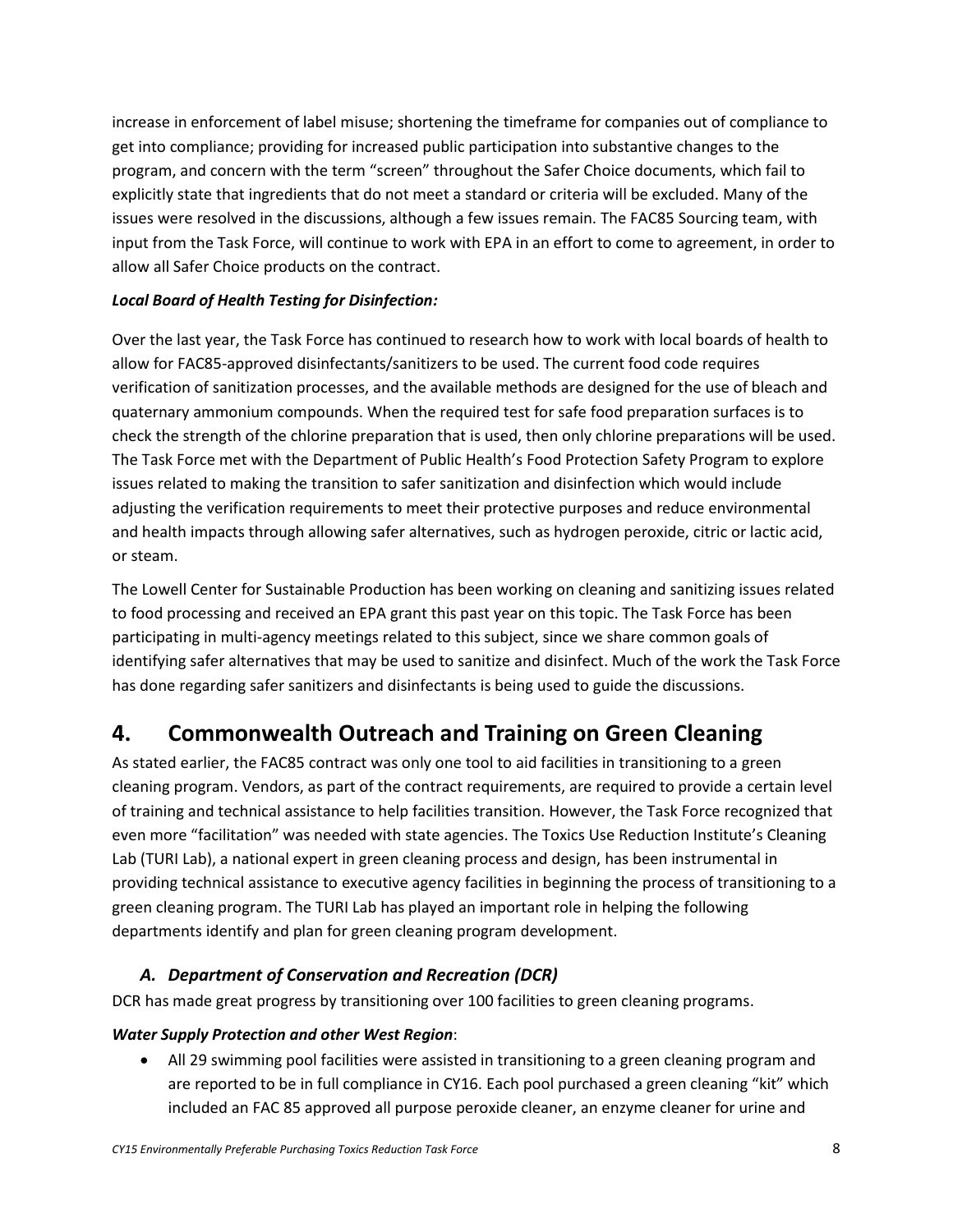increase in enforcement of label misuse; shortening the timeframe for companies out of compliance to get into compliance; providing for increased public participation into substantive changes to the program, and concern with the term "screen" throughout the Safer Choice documents, which fail to explicitly state that ingredients that do not meet a standard or criteria will be excluded. Many of the issues were resolved in the discussions, although a few issues remain. The FAC85 Sourcing team, with input from the Task Force, will continue to work with EPA in an effort to come to agreement, in order to allow all Safer Choice products on the contract.

#### *Local Board of Health Testing for Disinfection:*

Over the last year, the Task Force has continued to research how to work with local boards of health to allow for FAC85-approved disinfectants/sanitizers to be used. The current food code requires verification of sanitization processes, and the available methods are designed for the use of bleach and quaternary ammonium compounds. When the required test for safe food preparation surfaces is to check the strength of the chlorine preparation that is used, then only chlorine preparations will be used. The Task Force met with the Department of Public Health's Food Protection Safety Program to explore issues related to making the transition to safer sanitization and disinfection which would include adjusting the verification requirements to meet their protective purposes and reduce environmental and health impacts through allowing safer alternatives, such as hydrogen peroxide, citric or lactic acid, or steam.

The Lowell Center for Sustainable Production has been working on cleaning and sanitizing issues related to food processing and received an EPA grant this past year on this topic. The Task Force has been participating in multi-agency meetings related to this subject, since we share common goals of identifying safer alternatives that may be used to sanitize and disinfect. Much of the work the Task Force has done regarding safer sanitizers and disinfectants is being used to guide the discussions.

## <span id="page-8-0"></span>**4. Commonwealth Outreach and Training on Green Cleaning**

As stated earlier, the FAC85 contract was only one tool to aid facilities in transitioning to a green cleaning program. Vendors, as part of the contract requirements, are required to provide a certain level of training and technical assistance to help facilities transition. However, the Task Force recognized that even more "facilitation" was needed with state agencies. The Toxics Use Reduction Institute's Cleaning Lab (TURI Lab), a national expert in green cleaning process and design, has been instrumental in providing technical assistance to executive agency facilities in beginning the process of transitioning to a green cleaning program. The TURI Lab has played an important role in helping the following departments identify and plan for green cleaning program development.

### *A. Department of Conservation and Recreation (DCR)*

<span id="page-8-1"></span>DCR has made great progress by transitioning over 100 facilities to green cleaning programs.

#### *Water Supply Protection and other West Region*:

 All 29 swimming pool facilities were assisted in transitioning to a green cleaning program and are reported to be in full compliance in CY16. Each pool purchased a green cleaning "kit" which included an FAC 85 approved all purpose peroxide cleaner, an enzyme cleaner for urine and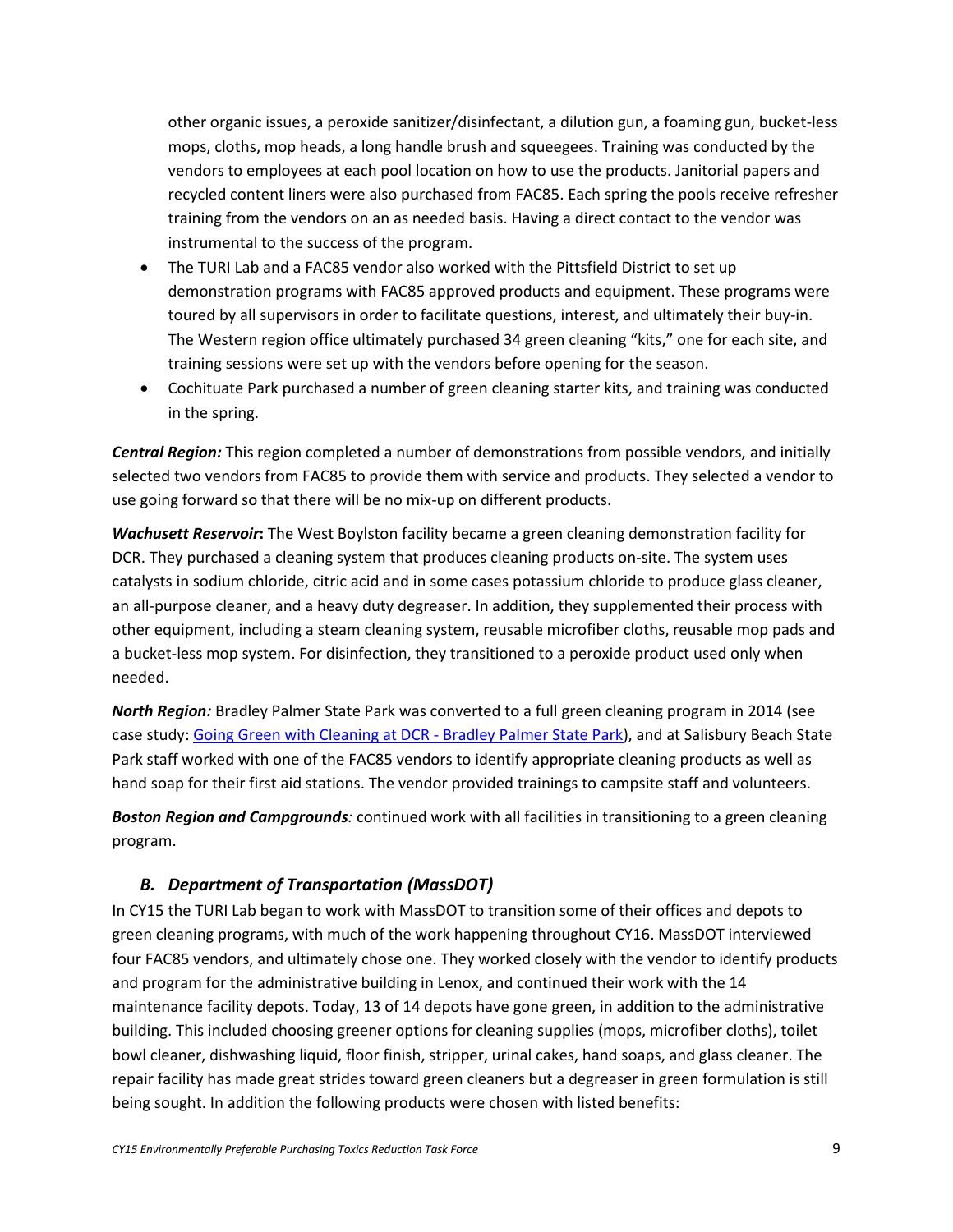other organic issues, a peroxide sanitizer/disinfectant, a dilution gun, a foaming gun, bucket-less mops, cloths, mop heads, a long handle brush and squeegees. Training was conducted by the vendors to employees at each pool location on how to use the products. Janitorial papers and recycled content liners were also purchased from FAC85. Each spring the pools receive refresher training from the vendors on an as needed basis. Having a direct contact to the vendor was instrumental to the success of the program.

- The TURI Lab and a FAC85 vendor also worked with the Pittsfield District to set up demonstration programs with FAC85 approved products and equipment. These programs were toured by all supervisors in order to facilitate questions, interest, and ultimately their buy-in. The Western region office ultimately purchased 34 green cleaning "kits," one for each site, and training sessions were set up with the vendors before opening for the season.
- Cochituate Park purchased a number of green cleaning starter kits, and training was conducted in the spring.

*Central Region:* This region completed a number of demonstrations from possible vendors, and initially selected two vendors from FAC85 to provide them with service and products. They selected a vendor to use going forward so that there will be no mix-up on different products.

*Wachusett Reservoir***:** The West Boylston facility became a green cleaning demonstration facility for DCR. They purchased a cleaning system that produces cleaning products on-site. The system uses catalysts in sodium chloride, citric acid and in some cases potassium chloride to produce glass cleaner, an all-purpose cleaner, and a heavy duty degreaser. In addition, they supplemented their process with other equipment, including a steam cleaning system, reusable microfiber cloths, reusable mop pads and a bucket-less mop system. For disinfection, they transitioned to a peroxide product used only when needed.

*North Region:* Bradley Palmer State Park was converted to a full green cleaning program in 2014 (see case study: [Going Green with Cleaning at DCR -](http://www.mass.gov/anf/docs/osd/epp/fact-sheets/2-18-bradley-palmer-green-cleaning-case-study.docx) Bradley Palmer State Park), and at Salisbury Beach State Park staff worked with one of the FAC85 vendors to identify appropriate cleaning products as well as hand soap for their first aid stations. The vendor provided trainings to campsite staff and volunteers.

*Boston Region and Campgrounds:* continued work with all facilities in transitioning to a green cleaning program.

### <span id="page-9-0"></span>*B. Department of Transportation (MassDOT)*

In CY15 the TURI Lab began to work with MassDOT to transition some of their offices and depots to green cleaning programs, with much of the work happening throughout CY16. MassDOT interviewed four FAC85 vendors, and ultimately chose one. They worked closely with the vendor to identify products and program for the administrative building in Lenox, and continued their work with the 14 maintenance facility depots. Today, 13 of 14 depots have gone green, in addition to the administrative building. This included choosing greener options for cleaning supplies (mops, microfiber cloths), toilet bowl cleaner, dishwashing liquid, floor finish, stripper, urinal cakes, hand soaps, and glass cleaner. The repair facility has made great strides toward green cleaners but a degreaser in green formulation is still being sought. In addition the following products were chosen with listed benefits: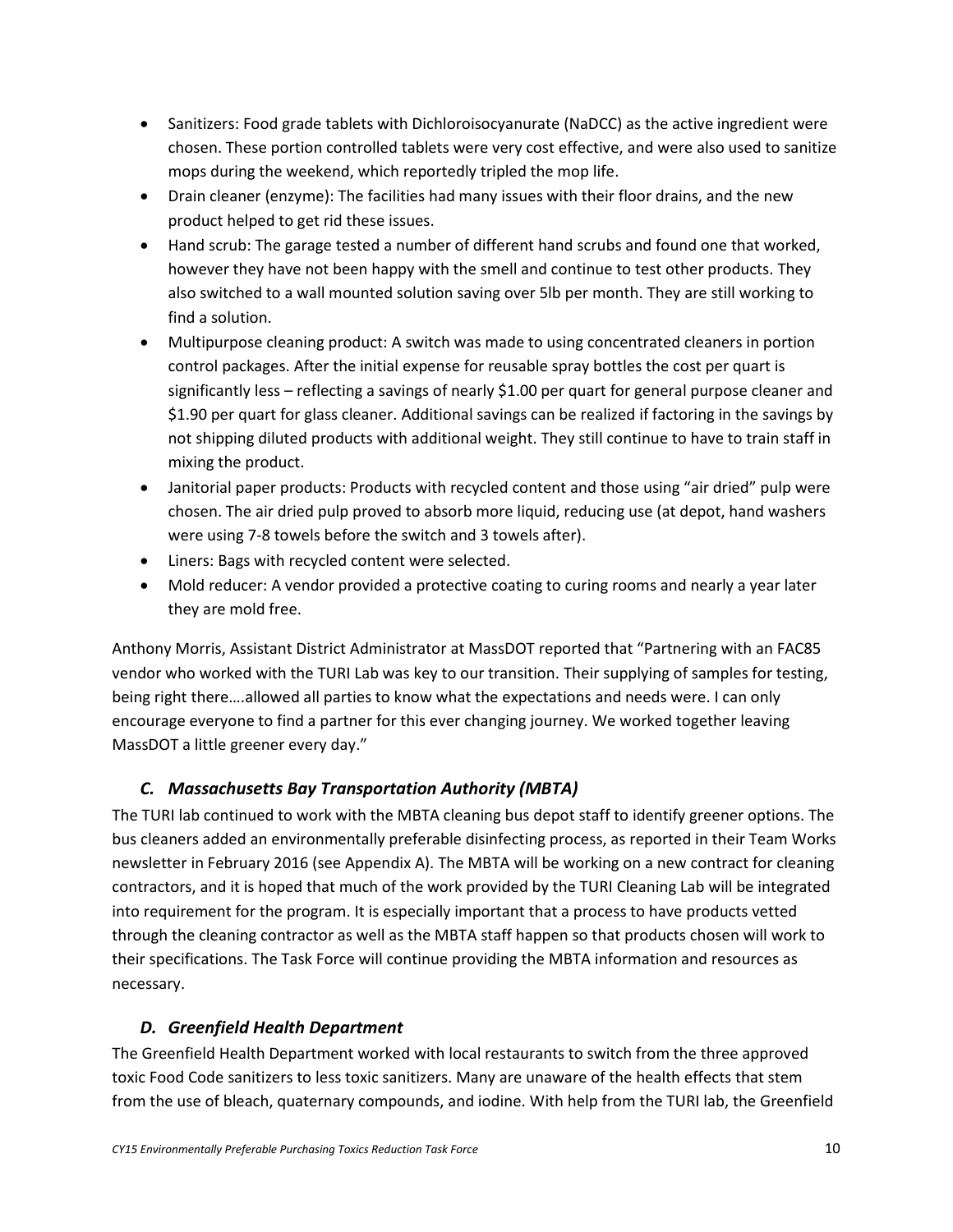- Sanitizers: Food grade tablets with Dichloroisocyanurate (NaDCC) as the active ingredient were chosen. These portion controlled tablets were very cost effective, and were also used to sanitize mops during the weekend, which reportedly tripled the mop life.
- Drain cleaner (enzyme): The facilities had many issues with their floor drains, and the new product helped to get rid these issues.
- Hand scrub: The garage tested a number of different hand scrubs and found one that worked, however they have not been happy with the smell and continue to test other products. They also switched to a wall mounted solution saving over 5lb per month. They are still working to find a solution.
- Multipurpose cleaning product: A switch was made to using concentrated cleaners in portion control packages. After the initial expense for reusable spray bottles the cost per quart is significantly less – reflecting a savings of nearly \$1.00 per quart for general purpose cleaner and \$1.90 per quart for glass cleaner. Additional savings can be realized if factoring in the savings by not shipping diluted products with additional weight. They still continue to have to train staff in mixing the product.
- Janitorial paper products: Products with recycled content and those using "air dried" pulp were chosen. The air dried pulp proved to absorb more liquid, reducing use (at depot, hand washers were using 7-8 towels before the switch and 3 towels after).
- Liners: Bags with recycled content were selected.
- Mold reducer: A vendor provided a protective coating to curing rooms and nearly a year later they are mold free.

Anthony Morris, Assistant District Administrator at MassDOT reported that "Partnering with an FAC85 vendor who worked with the TURI Lab was key to our transition. Their supplying of samples for testing, being right there….allowed all parties to know what the expectations and needs were. I can only encourage everyone to find a partner for this ever changing journey. We worked together leaving MassDOT a little greener every day."

### <span id="page-10-0"></span>*C. Massachusetts Bay Transportation Authority (MBTA)*

The TURI lab continued to work with the MBTA cleaning bus depot staff to identify greener options. The bus cleaners added an environmentally preferable disinfecting process, as reported in their Team Works newsletter in February 2016 (see Appendix A). The MBTA will be working on a new contract for cleaning contractors, and it is hoped that much of the work provided by the TURI Cleaning Lab will be integrated into requirement for the program. It is especially important that a process to have products vetted through the cleaning contractor as well as the MBTA staff happen so that products chosen will work to their specifications. The Task Force will continue providing the MBTA information and resources as necessary.

### <span id="page-10-1"></span>*D. Greenfield Health Department*

The Greenfield Health Department worked with local restaurants to switch from the three approved toxic Food Code sanitizers to less toxic sanitizers. Many are unaware of the health effects that stem from the use of bleach, quaternary compounds, and iodine. With help from the TURI lab, the Greenfield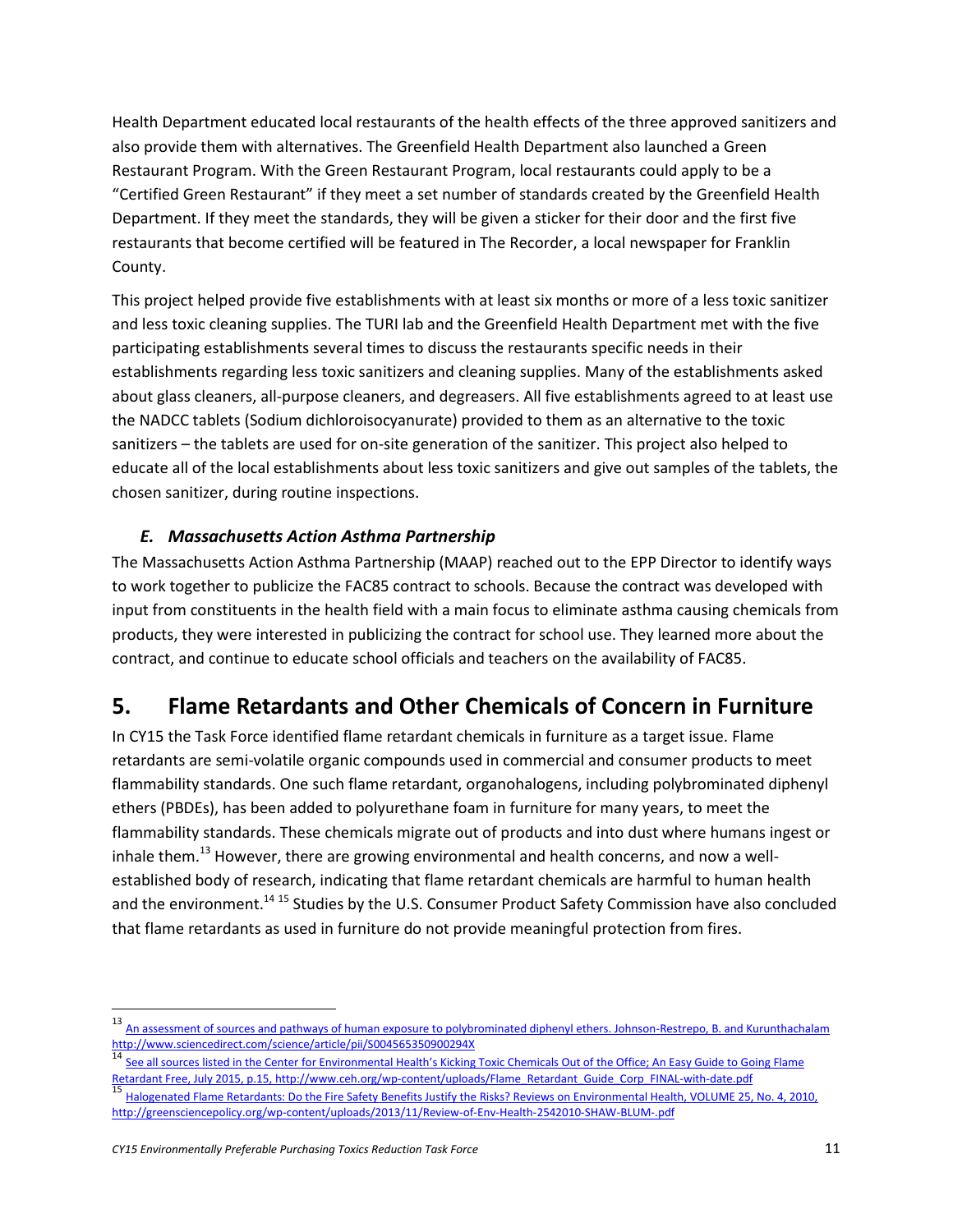Health Department educated local restaurants of the health effects of the three approved sanitizers and also provide them with alternatives. The Greenfield Health Department also launched a Green Restaurant Program. With the Green Restaurant Program, local restaurants could apply to be a "Certified Green Restaurant" if they meet a set number of standards created by the Greenfield Health Department. If they meet the standards, they will be given a sticker for their door and the first five restaurants that become certified will be featured in The Recorder, a local newspaper for Franklin County.

This project helped provide five establishments with at least six months or more of a less toxic sanitizer and less toxic cleaning supplies. The TURI lab and the Greenfield Health Department met with the five participating establishments several times to discuss the restaurants specific needs in their establishments regarding less toxic sanitizers and cleaning supplies. Many of the establishments asked about glass cleaners, all-purpose cleaners, and degreasers. All five establishments agreed to at least use the NADCC tablets (Sodium dichloroisocyanurate) provided to them as an alternative to the toxic sanitizers – the tablets are used for on-site generation of the sanitizer. This project also helped to educate all of the local establishments about less toxic sanitizers and give out samples of the tablets, the chosen sanitizer, during routine inspections.

### <span id="page-11-0"></span>*E. Massachusetts Action Asthma Partnership*

The Massachusetts Action Asthma Partnership (MAAP) reached out to the EPP Director to identify ways to work together to publicize the FAC85 contract to schools. Because the contract was developed with input from constituents in the health field with a main focus to eliminate asthma causing chemicals from products, they were interested in publicizing the contract for school use. They learned more about the contract, and continue to educate school officials and teachers on the availability of FAC85.

### <span id="page-11-1"></span>**5. Flame Retardants and Other Chemicals of Concern in Furniture**

In CY15 the Task Force identified flame retardant chemicals in furniture as a target issue. Flame retardants are semi-volatile organic compounds used in commercial and consumer products to meet flammability standards. One such flame retardant, organohalogens, including polybrominated diphenyl ethers (PBDEs), has been added to polyurethane foam in furniture for many years, to meet the flammability standards. These chemicals migrate out of products and into dust where humans ingest or inhale them.<sup>13</sup> However, there are growing environmental and health concerns, and now a wellestablished body of research, indicating that flame retardant chemicals are harmful to human health and the environment.<sup>14 15</sup> Studies by the U.S. Consumer Product Safety Commission have also concluded that flame retardants as used in furniture do not provide meaningful protection from fires.

<sup>13</sup> An assessment of sources and pathways of human exposure to polybrominated diphenyl ethers. Johnson-Restrepo, B. and Kurunthachalam <http://www.sciencedirect.com/science/article/pii/S004565350900294X>

[See all sources listed in the Center for Environmental Health's Kicking Toxic Chemicals Out of the Office; An Easy Guide to G](http://www.ceh.org/wp-content/uploads/Flame_Retardant_Guide_Corp_FINAL-with-date.pdf)oing Flame [Retardant Free, July 2015, p.15, http://www.ceh.org/wp-content/uploads/Flame\\_Retardant\\_Guide\\_Corp\\_FINAL-with-date.pdf](http://www.ceh.org/wp-content/uploads/Flame_Retardant_Guide_Corp_FINAL-with-date.pdf)

<sup>&</sup>lt;sup>15</sup> [Halogenated Flame Retardants: Do the Fire Safety Benefits Justify the Risks? Reviews on](http://greensciencepolicy.org/wp-content/uploads/2013/11/Review-of-Env-Health-2542010-SHAW-BLUM-.pdf) Environmental Health, VOLUME 25, No. 4, 2010, <http://greensciencepolicy.org/wp-content/uploads/2013/11/Review-of-Env-Health-2542010-SHAW-BLUM-.pdf>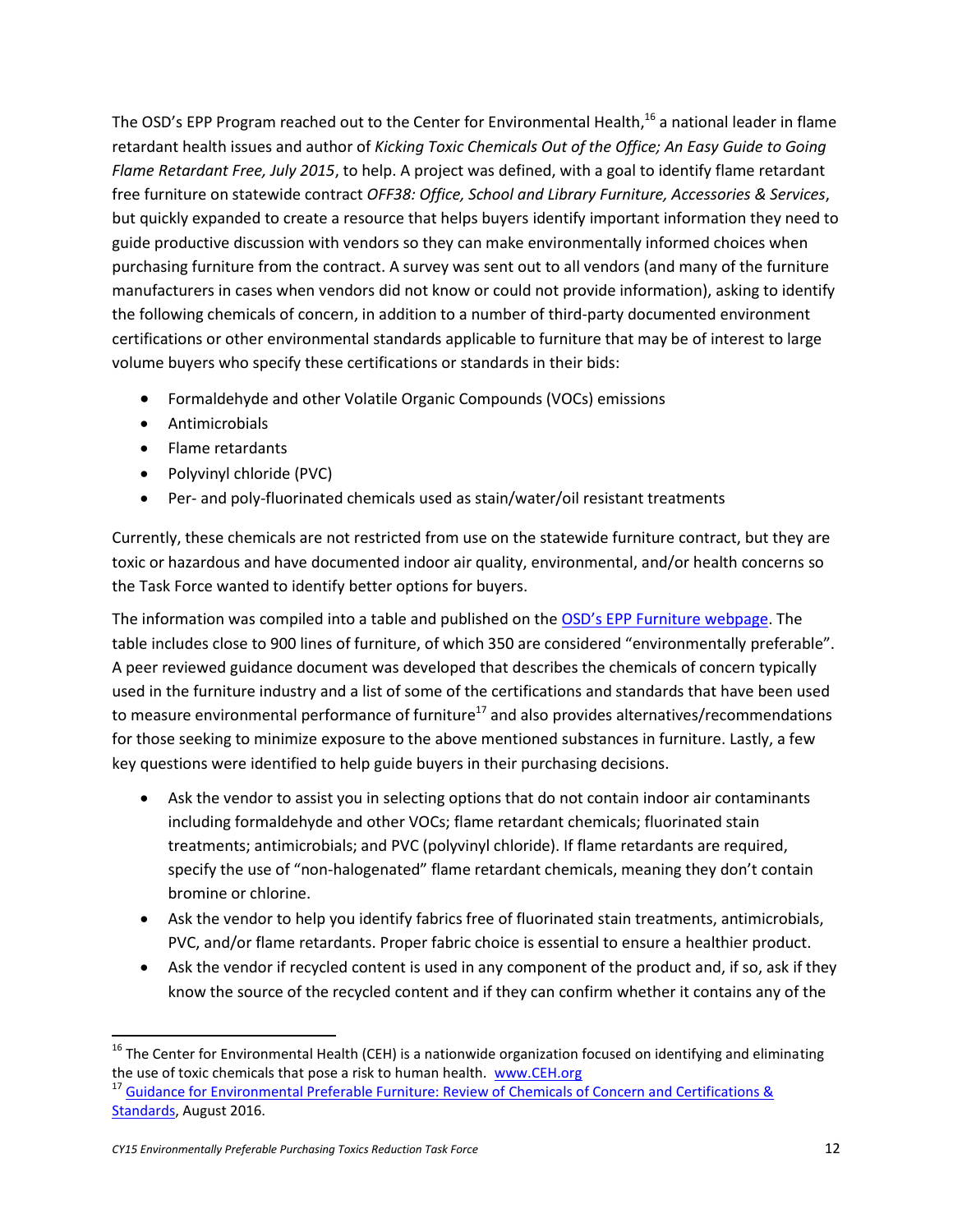The OSD's EPP Program reached out to the Center for Environmental Health,<sup>16</sup> a national leader in flame retardant health issues and author of *Kicking Toxic Chemicals Out of the Office; An Easy Guide to Going Flame Retardant Free, July 2015*, to help. A project was defined, with a goal to identify flame retardant free furniture on statewide contract *OFF38: Office, School and Library Furniture, Accessories & Services*, but quickly expanded to create a resource that helps buyers identify important information they need to guide productive discussion with vendors so they can make environmentally informed choices when purchasing furniture from the contract. A survey was sent out to all vendors (and many of the furniture manufacturers in cases when vendors did not know or could not provide information), asking to identify the following chemicals of concern, in addition to a number of third-party documented environment certifications or other environmental standards applicable to furniture that may be of interest to large volume buyers who specify these certifications or standards in their bids:

- Formaldehyde and other Volatile Organic Compounds (VOCs) emissions
- Antimicrobials
- Flame retardants
- Polyvinyl chloride (PVC)
- Per- and poly-fluorinated chemicals used as stain/water/oil resistant treatments

Currently, these chemicals are not restricted from use on the statewide furniture contract, but they are toxic or hazardous and have documented indoor air quality, environmental, and/or health concerns so the Task Force wanted to identify better options for buyers.

The information was compiled into a table and published on the [OSD's EPP Furniture webpage](http://www.mass.gov/anf/budget-taxes-and-procurement/procurement-info-and-res/procurement-prog-and-serv/epp-procurement-prog/green-products-and-serv/specific-epp-statewide-contracts/furniture-environmentally-preferable.html). The table includes close to 900 lines of furniture, of which 350 are considered "environmentally preferable". A peer reviewed guidance document was developed that describes the chemicals of concern typically used in the furniture industry and a list of some of the certifications and standards that have been used to measure environmental performance of furniture<sup>17</sup> and also provides alternatives/recommendations for those seeking to minimize exposure to the above mentioned substances in furniture. Lastly, a few key questions were identified to help guide buyers in their purchasing decisions.

- Ask the vendor to assist you in selecting options that do not contain indoor air contaminants including formaldehyde and other VOCs; flame retardant chemicals; fluorinated stain treatments; antimicrobials; and PVC (polyvinyl chloride). If flame retardants are required, specify the use of "non-halogenated" flame retardant chemicals, meaning they don't contain bromine or chlorine.
- Ask the vendor to help you identify fabrics free of fluorinated stain treatments, antimicrobials, PVC, and/or flame retardants. Proper fabric choice is essential to ensure a healthier product.
- Ask the vendor if recycled content is used in any component of the product and, if so, ask if they know the source of the recycled content and if they can confirm whether it contains any of the

 $\overline{a}$ 

 $16$  The Center for Environmental Health (CEH) is a nationwide organization focused on identifying and eliminating the use of toxic chemicals that pose a risk to human health. [www.CEH.org](http://www.ceh.org/)

<sup>&</sup>lt;sup>17</sup> Guidance for Environmental Preferable Furniture: Review of Chemicals of Concern and Certifications & [Standards,](http://www.mass.gov/anf/docs/osd/epp/epp-furniture-guidance.pdf) August 2016.

*CY15 Environmentally Preferable Purchasing Toxics Reduction Task Force* 12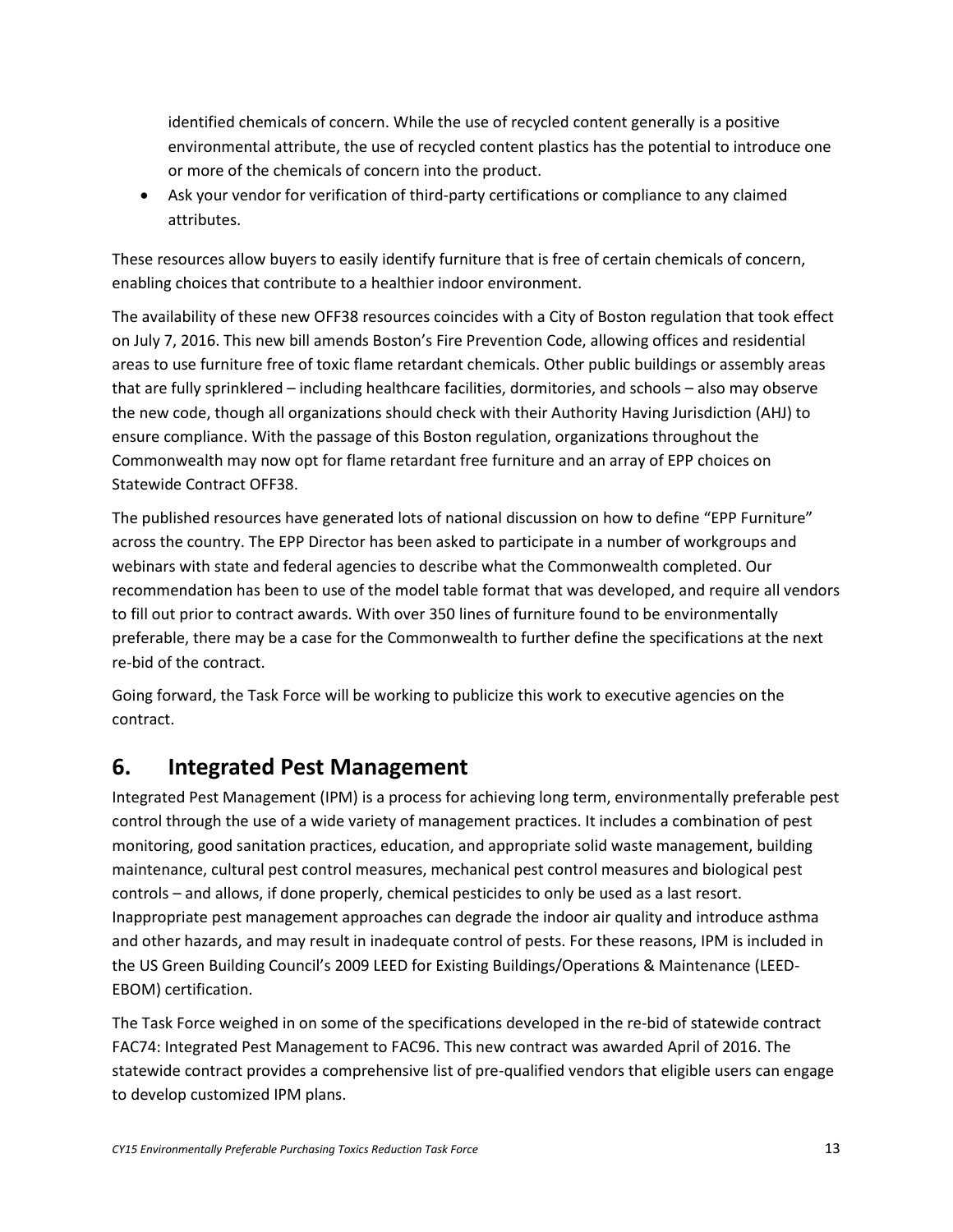identified chemicals of concern. While the use of recycled content generally is a positive environmental attribute, the use of recycled content plastics has the potential to introduce one or more of the chemicals of concern into the product.

 Ask your vendor for verification of third-party certifications or compliance to any claimed attributes.

These resources allow buyers to easily identify furniture that is free of certain chemicals of concern, enabling choices that contribute to a healthier indoor environment.

The availability of these new OFF38 resources coincides with a City of Boston regulation that took effect on July 7, 2016. This new bill amends Boston's Fire Prevention Code, allowing offices and residential areas to use furniture free of toxic flame retardant chemicals. Other public buildings or assembly areas that are fully sprinklered – including healthcare facilities, dormitories, and schools – also may observe the new code, though all organizations should check with their Authority Having Jurisdiction (AHJ) to ensure compliance. With the passage of this Boston regulation, organizations throughout the Commonwealth may now opt for flame retardant free furniture and an array of EPP choices on Statewide Contract OFF38.

The published resources have generated lots of national discussion on how to define "EPP Furniture" across the country. The EPP Director has been asked to participate in a number of workgroups and webinars with state and federal agencies to describe what the Commonwealth completed. Our recommendation has been to use of the model table format that was developed, and require all vendors to fill out prior to contract awards. With over 350 lines of furniture found to be environmentally preferable, there may be a case for the Commonwealth to further define the specifications at the next re-bid of the contract.

Going forward, the Task Force will be working to publicize this work to executive agencies on the contract.

### <span id="page-13-0"></span>**6. Integrated Pest Management**

Integrated Pest Management (IPM) is a process for achieving long term, environmentally preferable pest control through the use of a wide variety of management practices. It includes a combination of pest monitoring, good sanitation practices, education, and appropriate solid waste management, building maintenance, cultural pest control measures, mechanical pest control measures and biological pest controls – and allows, if done properly, chemical pesticides to only be used as a last resort. Inappropriate pest management approaches can degrade the indoor air quality and introduce asthma and other hazards, and may result in inadequate control of pests. For these reasons, IPM is included in the US Green Building Council's 2009 LEED for Existing Buildings/Operations & Maintenance (LEED-EBOM) certification.

The Task Force weighed in on some of the specifications developed in the re-bid of statewide contract FAC74: Integrated Pest Management to FAC96. This new contract was awarded April of 2016. The statewide contract provides a comprehensive list of pre-qualified vendors that eligible users can engage to develop customized IPM plans.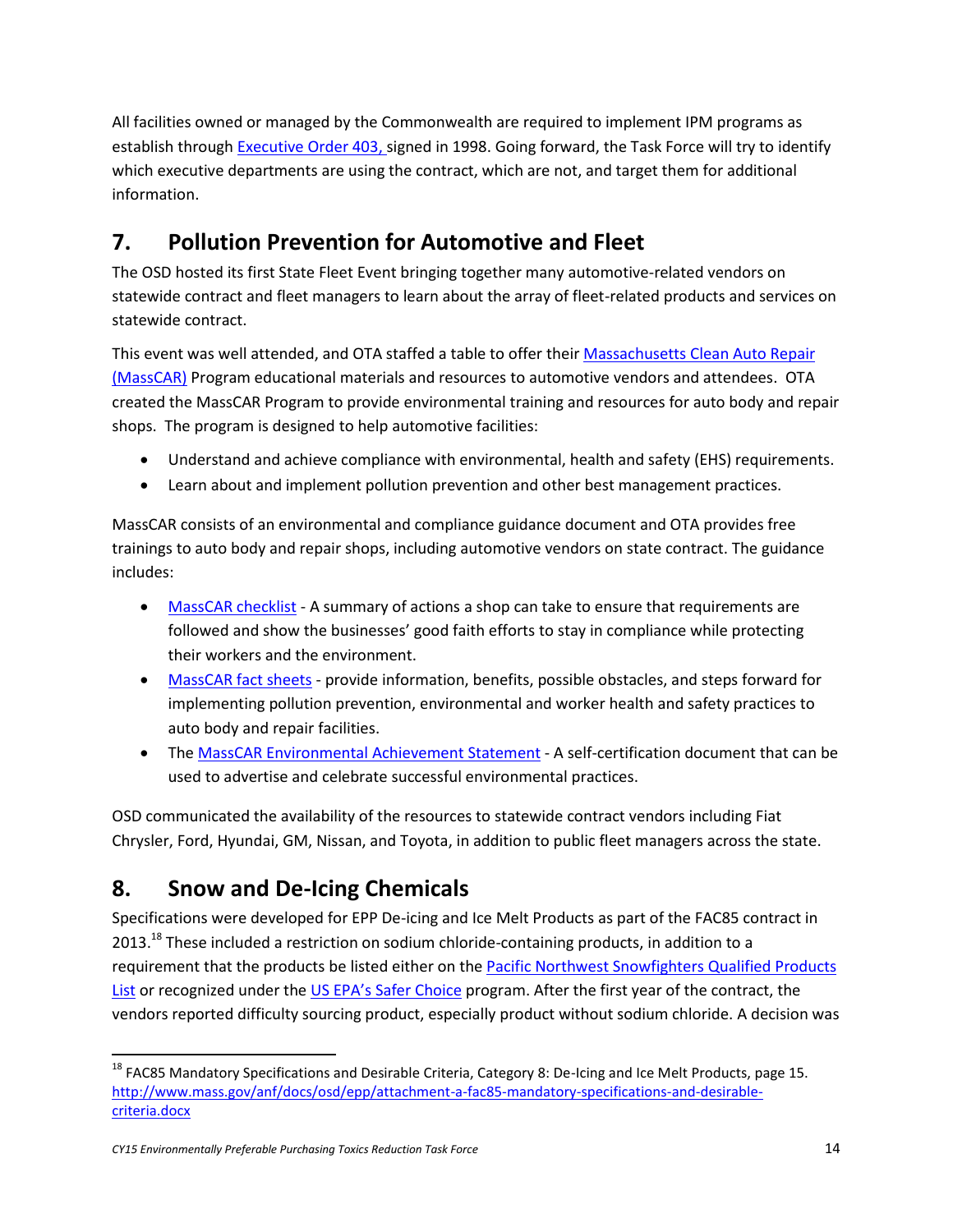All facilities owned or managed by the Commonwealth are required to implement IPM programs as establish throug[h Executive Order 403,](http://www.mass.gov/courts/docs/lawlib/eo400-499/eo403.txt) signed in 1998. Going forward, the Task Force will try to identify which executive departments are using the contract, which are not, and target them for additional information.

## <span id="page-14-0"></span>**7. Pollution Prevention for Automotive and Fleet**

The OSD hosted its first State Fleet Event bringing together many automotive-related vendors on statewide contract and fleet managers to learn about the array of fleet-related products and services on statewide contract.

This event was well attended, and OTA staffed a table to offer their [Massachusetts Clean Auto Repair](http://www.mass.gov/eea/grants-and-tech-assistance/guidance-technical-assistance/agencies-and-divisions/ota/education-and-outreach/masscar/)  [\(MassCAR\)](http://www.mass.gov/eea/grants-and-tech-assistance/guidance-technical-assistance/agencies-and-divisions/ota/education-and-outreach/masscar/) Program educational materials and resources to automotive vendors and attendees. OTA created the MassCAR Program to provide environmental training and resources for auto body and repair shops. The program is designed to help automotive facilities:

- Understand and achieve compliance with environmental, health and safety (EHS) requirements.
- Learn about and implement pollution prevention and other best management practices.

MassCAR consists of an environmental and compliance guidance document and OTA provides free trainings to auto body and repair shops, including automotive vendors on state contract. The guidance includes:

- [MassCAR checklist](http://www.mass.gov/eea/grants-and-tech-assistance/guidance-technical-assistance/agencies-and-divisions/ota/education-and-outreach/masscar/masscar-checklist.pdf) A summary of actions a shop can take to ensure that requirements are followed and show the businesses' good faith efforts to stay in compliance while protecting their workers and the environment.
- [MassCAR fact sheets](http://www.mass.gov/eea/grants-and-tech-assistance/guidance-technical-assistance/agencies-and-divisions/ota/education-and-outreach/masscar/masscar-checklist.pdf) provide information, benefits, possible obstacles, and steps forward for implementing pollution prevention, environmental and worker health and safety practices to auto body and repair facilities.
- The [MassCAR Environmental Achievement Statement](http://www.mass.gov/eea/grants-and-tech-assistance/guidance-technical-assistance/agencies-and-divisions/ota/education-and-outreach/masscar/environmental-achievements-statement.docx) A self-certification document that can be used to advertise and celebrate successful environmental practices.

OSD communicated the availability of the resources to statewide contract vendors including Fiat Chrysler, Ford, Hyundai, GM, Nissan, and Toyota, in addition to public fleet managers across the state.

# <span id="page-14-1"></span>**8. Snow and De-Icing Chemicals**

Specifications were developed for EPP De-icing and Ice Melt Products as part of the FAC85 contract in 2013.<sup>18</sup> These included a restriction on sodium chloride-containing products, in addition to a requirement that the products be listed either on th[e Pacific Northwest Snowfighters Qualified Products](http://pnsassociation.org/resources/)  [List](http://pnsassociation.org/resources/) or recognized under the [US EPA's Safer Choice](http://www.epa.gov/saferchoice) program. After the first year of the contract, the vendors reported difficulty sourcing product, especially product without sodium chloride. A decision was

<sup>&</sup>lt;sup>18</sup> FAC85 Mandatory Specifications and Desirable Criteria, Category 8: De-Icing and Ice Melt Products, page 15. [http://www.mass.gov/anf/docs/osd/epp/attachment-a-fac85-mandatory-specifications-and-desirable](http://www.mass.gov/anf/docs/osd/epp/attachment-a-fac85-mandatory-specifications-and-desirable-criteria.docx)[criteria.docx](http://www.mass.gov/anf/docs/osd/epp/attachment-a-fac85-mandatory-specifications-and-desirable-criteria.docx)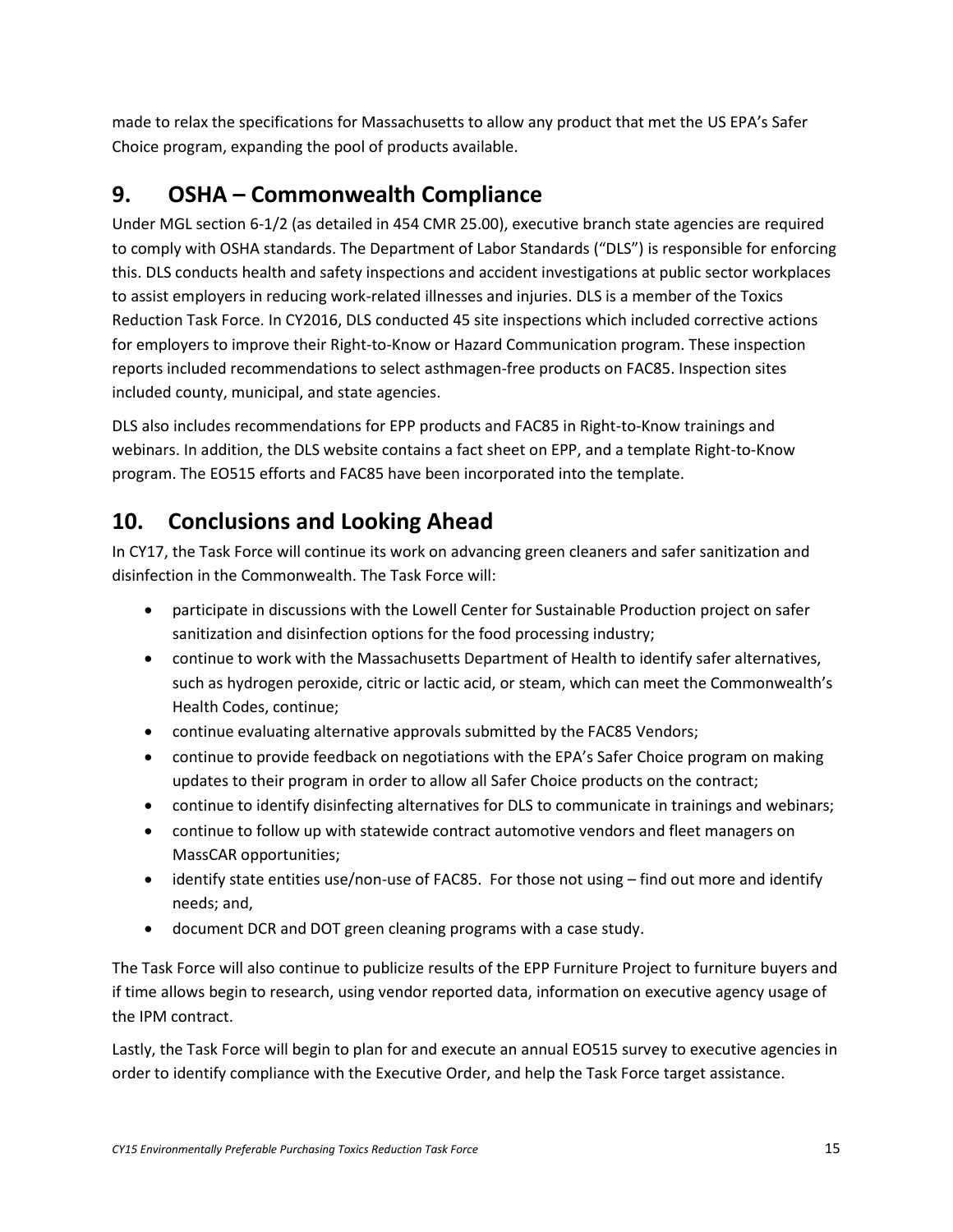made to relax the specifications for Massachusetts to allow any product that met the US EPA's Safer Choice program, expanding the pool of products available.

# <span id="page-15-0"></span>**9. OSHA – Commonwealth Compliance**

Under MGL section 6-1/2 (as detailed in 454 CMR 25.00), executive branch state agencies are required to comply with OSHA standards. The Department of Labor Standards ("DLS") is responsible for enforcing this. DLS conducts health and safety inspections and accident investigations at public sector workplaces to assist employers in reducing work-related illnesses and injuries. DLS is a member of the Toxics Reduction Task Force. In CY2016, DLS conducted 45 site inspections which included corrective actions for employers to improve their Right-to-Know or Hazard Communication program. These inspection reports included recommendations to select asthmagen-free products on FAC85. Inspection sites included county, municipal, and state agencies.

DLS also includes recommendations for EPP products and FAC85 in Right-to-Know trainings and webinars. In addition, the DLS website contains a fact sheet on EPP, and a template Right-to-Know program. The EO515 efforts and FAC85 have been incorporated into the template.

## <span id="page-15-1"></span>**10. Conclusions and Looking Ahead**

In CY17, the Task Force will continue its work on advancing green cleaners and safer sanitization and disinfection in the Commonwealth. The Task Force will:

- participate in discussions with the Lowell Center for Sustainable Production project on safer sanitization and disinfection options for the food processing industry;
- continue to work with the Massachusetts Department of Health to identify safer alternatives, such as hydrogen peroxide, citric or lactic acid, or steam, which can meet the Commonwealth's Health Codes, continue;
- continue evaluating alternative approvals submitted by the FAC85 Vendors;
- continue to provide feedback on negotiations with the EPA's Safer Choice program on making updates to their program in order to allow all Safer Choice products on the contract;
- continue to identify disinfecting alternatives for DLS to communicate in trainings and webinars;
- continue to follow up with statewide contract automotive vendors and fleet managers on MassCAR opportunities;
- identify state entities use/non-use of FAC85. For those not using find out more and identify needs; and,
- document DCR and DOT green cleaning programs with a case study.

The Task Force will also continue to publicize results of the EPP Furniture Project to furniture buyers and if time allows begin to research, using vendor reported data, information on executive agency usage of the IPM contract.

Lastly, the Task Force will begin to plan for and execute an annual EO515 survey to executive agencies in order to identify compliance with the Executive Order, and help the Task Force target assistance.